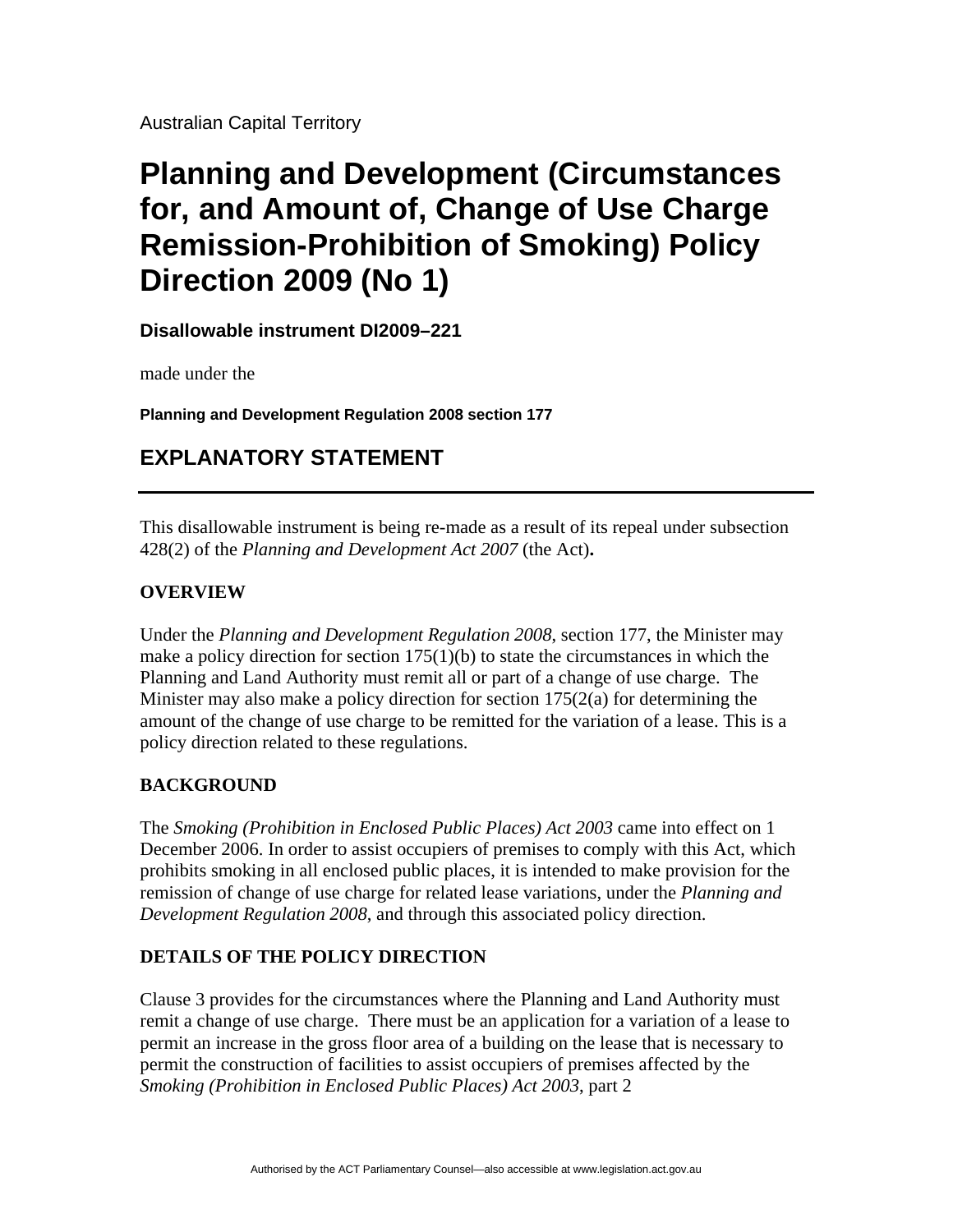Australian Capital Territory

# **Planning and Development (Circumstances for, and Amount of, Change of Use Charge Remission-Prohibition of Smoking) Policy Direction 2009 (No 1)**

**Disallowable instrument DI2009–221** 

made under the

**Planning and Development Regulation 2008 section 177** 

## **EXPLANATORY STATEMENT**

This disallowable instrument is being re-made as a result of its repeal under subsection 428(2) of the *Planning and Development Act 2007* (the Act)**.** 

### **OVERVIEW**

Under the *Planning and Development Regulation 2008*, section 177, the Minister may make a policy direction for section  $175(1)(b)$  to state the circumstances in which the Planning and Land Authority must remit all or part of a change of use charge. The Minister may also make a policy direction for section  $175(2(a)$  for determining the amount of the change of use charge to be remitted for the variation of a lease. This is a policy direction related to these regulations.

#### **BACKGROUND**

The *Smoking (Prohibition in Enclosed Public Places) Act 2003* came into effect on 1 December 2006. In order to assist occupiers of premises to comply with this Act, which prohibits smoking in all enclosed public places, it is intended to make provision for the remission of change of use charge for related lease variations, under the *Planning and Development Regulation 2008*, and through this associated policy direction.

#### **DETAILS OF THE POLICY DIRECTION**

Clause 3 provides for the circumstances where the Planning and Land Authority must remit a change of use charge. There must be an application for a variation of a lease to permit an increase in the gross floor area of a building on the lease that is necessary to permit the construction of facilities to assist occupiers of premises affected by the *Smoking (Prohibition in Enclosed Public Places) Act 2003*, part 2